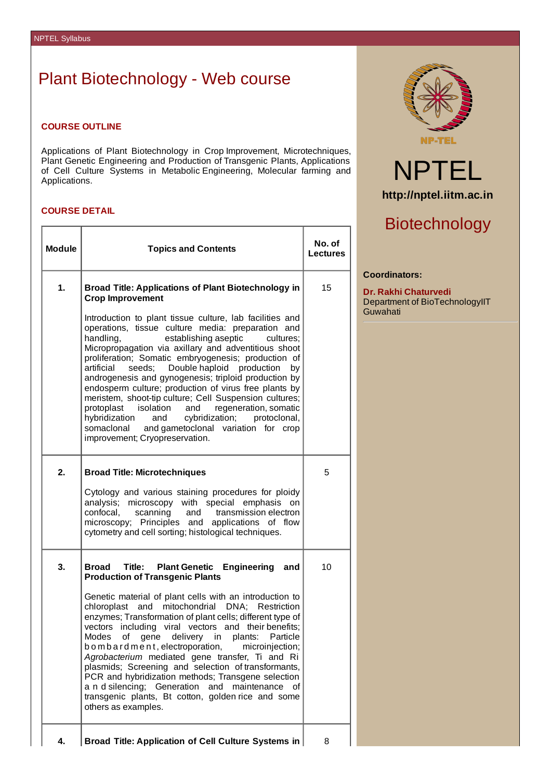# Plant Biotechnology - Web course

### **COURSE OUTLINE**

Applications of Plant Biotechnology in Crop Improvement, Microtechniques, Plant Genetic Engineering and Production of Transgenic Plants, Applications of Cell Culture Systems in Metabolic Engineering, Molecular farming and Applications.

### **COURSE DETAIL**

| <b>Module</b> | <b>Topics and Contents</b>                                                                                                                                                                                                                                                                                                                                                                                                                                                                                                                                                                                                                                                                                                                               | No. of<br><b>Lectures</b> |
|---------------|----------------------------------------------------------------------------------------------------------------------------------------------------------------------------------------------------------------------------------------------------------------------------------------------------------------------------------------------------------------------------------------------------------------------------------------------------------------------------------------------------------------------------------------------------------------------------------------------------------------------------------------------------------------------------------------------------------------------------------------------------------|---------------------------|
| 1.            | <b>Broad Title: Applications of Plant Biotechnology in</b><br><b>Crop Improvement</b>                                                                                                                                                                                                                                                                                                                                                                                                                                                                                                                                                                                                                                                                    | 15                        |
|               | Introduction to plant tissue culture, lab facilities and<br>operations, tissue culture media: preparation and<br>handling,<br>establishing aseptic<br>cultures:<br>Micropropagation via axillary and adventitious shoot<br>proliferation; Somatic embryogenesis; production of<br>seeds;<br>Double haploid production<br>artificial<br>bv<br>androgenesis and gynogenesis; triploid production by<br>endosperm culture; production of virus free plants by<br>meristem, shoot-tip culture; Cell Suspension cultures;<br>protoplast isolation and regeneration, somatic<br>and cybridization;<br>protoclonal,<br>hybridization<br>somaclonal and gametoclonal variation for crop<br>improvement; Cryopreservation.                                        |                           |
| 2.            | <b>Broad Title: Microtechniques</b><br>Cytology and various staining procedures for ploidy<br>analysis; microscopy with special emphasis on<br>confocal,<br>scanning<br>and transmission electron<br>microscopy; Principles and applications of flow<br>cytometry and cell sorting; histological techniques.                                                                                                                                                                                                                                                                                                                                                                                                                                             | 5                         |
| 3.            | Title: Plant Genetic Engineering and<br>Broad<br><b>Production of Transgenic Plants</b><br>Genetic material of plant cells with an introduction to<br>chloroplast and mitochondrial<br>DNA; Restriction<br>enzymes; Transformation of plant cells; different type of<br>vectors including viral vectors and their benefits;<br><b>Modes</b><br>delivery in<br>plants: Particle<br>of<br>gene<br>bombardment, electroporation,<br>microinjection;<br>Agrobacterium mediated gene transfer, Ti and Ri<br>plasmids; Screening and selection of transformants,<br>PCR and hybridization methods; Transgene selection<br>a n d silencing; Generation<br>and<br>maintenance<br>οf<br>transgenic plants, Bt cotton, golden rice and some<br>others as examples. | 10                        |
| 4.            | <b>Broad Title: Application of Cell Culture Systems in</b>                                                                                                                                                                                                                                                                                                                                                                                                                                                                                                                                                                                                                                                                                               | 8                         |



# NPTEL **http://nptel.iitm.ac.in**

# Biotechnology

#### **Coordinators:**

**Dr. Rakhi Chaturvedi** Department of BioTechnologyIIT Guwahati